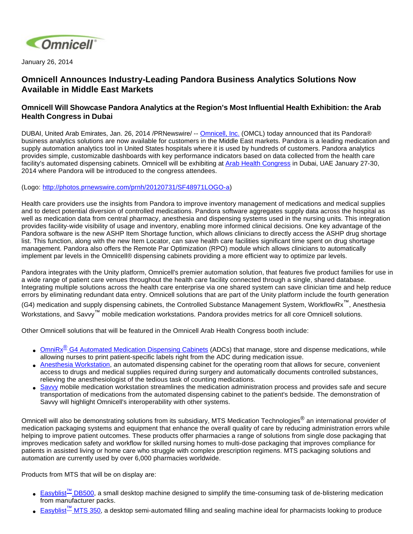

January 26, 2014

## **Omnicell Announces Industry-Leading Pandora Business Analytics Solutions Now Available in Middle East Markets**

## **Omnicell Will Showcase Pandora Analytics at the Region's Most Influential Health Exhibition: the Arab Health Congress in Dubai**

DUBAI, United Arab Emirates, Jan. 26, 2014 /PRNewswire/ -- [Omnicell, Inc.](http://www.omnicell.com/) (OMCL) today announced that its Pandora® business analytics solutions are now available for customers in the Middle East markets. Pandora is a leading medication and supply automation analytics tool in United States hospitals where it is used by hundreds of customers. Pandora analytics provides simple, customizable dashboards with key performance indicators based on data collected from the health care facility's automated dispensing cabinets. Omnicell will be exhibiting at [Arab Health Congress](http://www.arabhealthonline.com/AHCongress/) in Dubai, UAE January 27-30, 2014 where Pandora will be introduced to the congress attendees.

## (Logo: [http://photos.prnewswire.com/prnh/20120731/SF48971LOGO-a\)](http://photos.prnewswire.com/prnh/20120731/SF48971LOGO-a)

Health care providers use the insights from Pandora to improve inventory management of medications and medical supplies and to detect potential diversion of controlled medications. Pandora software aggregates supply data across the hospital as well as medication data from central pharmacy, anesthesia and dispensing systems used in the nursing units. This integration provides facility-wide visibility of usage and inventory, enabling more informed clinical decisions. One key advantage of the Pandora software is the new ASHP Item Shortage function, which allows clinicians to directly access the ASHP drug shortage list. This function, along with the new Item Locator, can save health care facilities significant time spent on drug shortage management. Pandora also offers the Remote Par Optimization (RPO) module which allows clinicians to automatically implement par levels in the Omnicell® dispensing cabinets providing a more efficient way to optimize par levels.

Pandora integrates with the Unity platform, Omnicell's premier automation solution, that features five product families for use in a wide range of patient care venues throughout the health care facility connected through a single, shared database. Integrating multiple solutions across the health care enterprise via one shared system can save clinician time and help reduce errors by eliminating redundant data entry. Omnicell solutions that are part of the Unity platform include the fourth generation (G4) medication and supply dispensing cabinets, the Controlled Substance Management System, WorkflowRx™, Anesthesia Workstations, and Savvy™ mobile medication workstations. Pandora provides metrics for all core Omnicell solutions.

Other Omnicell solutions that will be featured in the Omnicell Arab Health Congress booth include:

- OmniRx<sup>®</sup> G4 Automated Medication Dispensing Cabinets</u> (ADCs) that manage, store and dispense medications, while allowing nurses to print patient-specific labels right from the ADC during medication issue.
- [Anesthesia Workstation](http://www.omnicell.com/Products/Medication_Dispensing/Anesthesia_Workstation_G4.aspx), an automated dispensing cabinet for the operating room that allows for secure, convenient access to drugs and medical supplies required during surgery and automatically documents controlled substances, relieving the anesthesiologist of the tedious task of counting medications.
- [Savvy](http://www.omnicell.com/Products/Medication_Dispensing/Savvy_Mobile_Medication_System.aspx) mobile medication workstation streamlines the medication administration process and provides safe and secure transportation of medications from the automated dispensing cabinet to the patient's bedside. The demonstration of Savvy will highlight Omnicell's interoperability with other systems.

Omnicell will also be demonstrating solutions from its subsidiary, MTS Medication Technologies<sup>®</sup> an international provider of medication packaging systems and equipment that enhance the overall quality of care by reducing administration errors while helping to improve patient outcomes. These products offer pharmacies a range of solutions from single dose packaging that improves medication safety and workflow for skilled nursing homes to multi-dose packaging that improves compliance for patients in assisted living or home care who struggle with complex prescription regimens. MTS packaging solutions and automation are currently used by over 6,000 pharmacies worldwide.

Products from MTS that will be on display are:

- [Easyblist](http://www.mts-mt.co.uk/catalogue)<sup>™</sup> DB500, a small desktop machine designed to simplify the time-consuming task of de-blistering medication from manufacturer packs.
- Easyblist<sup>™</sup> [MTS 350](http://www.mts-mt.co.uk/catalogue), a desktop semi-automated filling and sealing machine ideal for pharmacists looking to produce